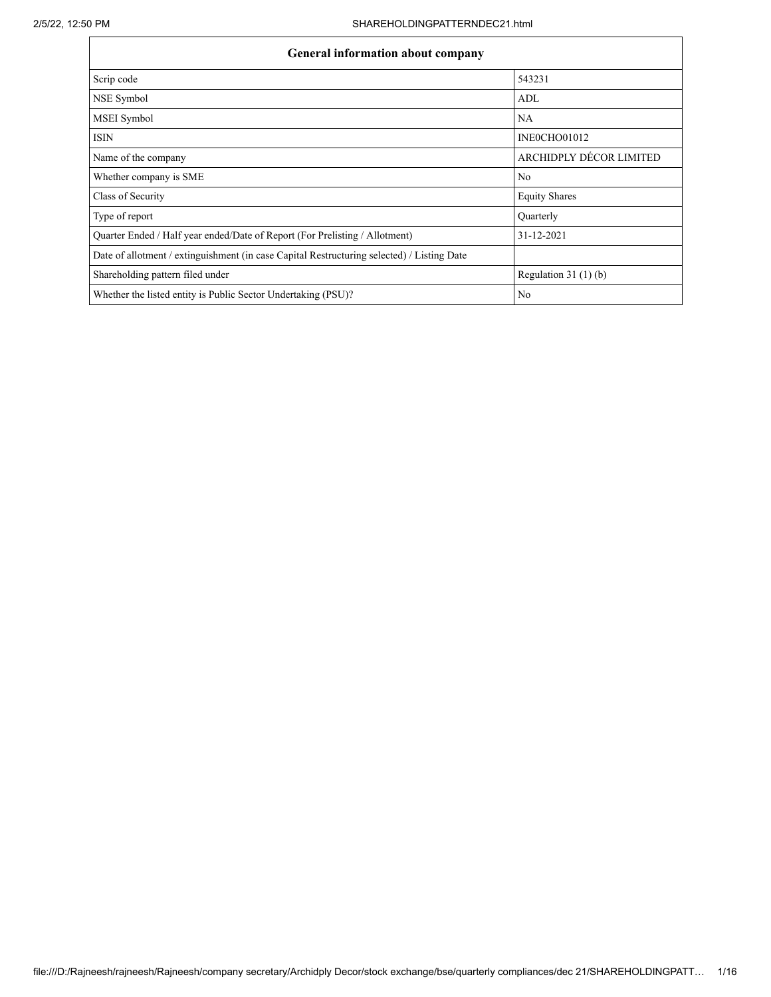| <b>General information about company</b>                                                   |                           |  |  |  |  |  |  |
|--------------------------------------------------------------------------------------------|---------------------------|--|--|--|--|--|--|
| Scrip code                                                                                 | 543231                    |  |  |  |  |  |  |
| NSE Symbol                                                                                 | ADL                       |  |  |  |  |  |  |
| MSEI Symbol                                                                                | NA                        |  |  |  |  |  |  |
| <b>ISIN</b>                                                                                | INEOCHO01012              |  |  |  |  |  |  |
| Name of the company                                                                        | ARCHIDPLY DÉCOR LIMITED   |  |  |  |  |  |  |
| Whether company is SME                                                                     | N <sub>0</sub>            |  |  |  |  |  |  |
| Class of Security                                                                          | <b>Equity Shares</b>      |  |  |  |  |  |  |
| Type of report                                                                             | Quarterly                 |  |  |  |  |  |  |
| Quarter Ended / Half year ended/Date of Report (For Prelisting / Allotment)                | 31-12-2021                |  |  |  |  |  |  |
| Date of allotment / extinguishment (in case Capital Restructuring selected) / Listing Date |                           |  |  |  |  |  |  |
| Shareholding pattern filed under                                                           | Regulation 31 $(1)$ $(b)$ |  |  |  |  |  |  |
| Whether the listed entity is Public Sector Undertaking (PSU)?                              | N <sub>0</sub>            |  |  |  |  |  |  |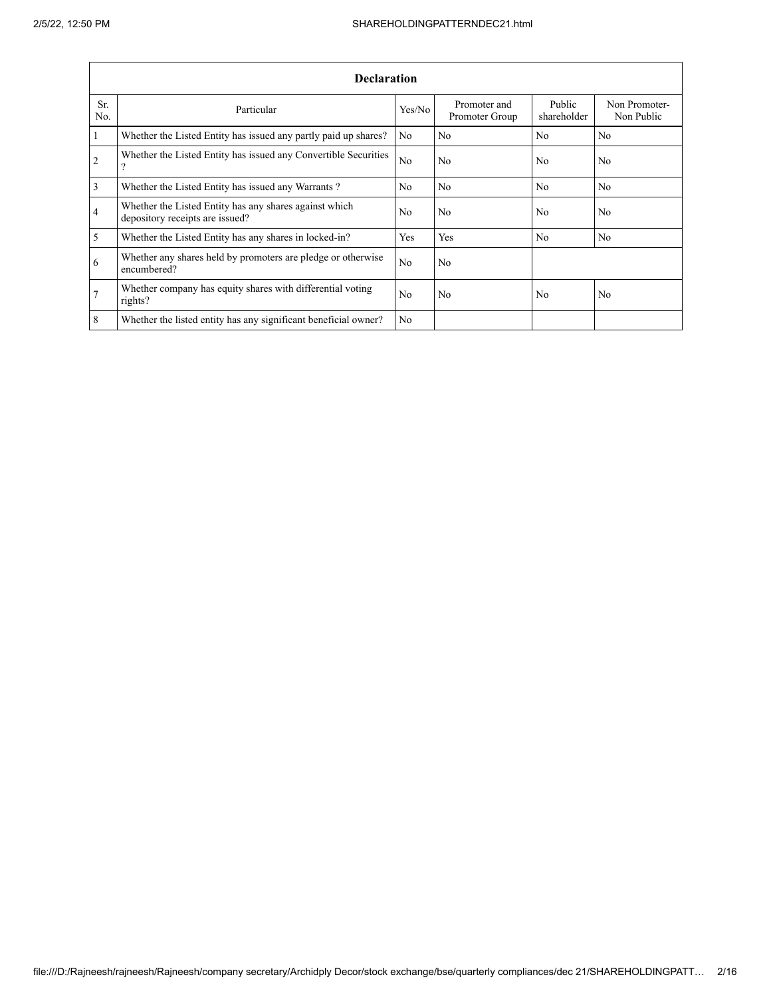|                       | <b>Declaration</b>                                                                        |                |                                |                       |                             |  |  |  |  |  |  |  |
|-----------------------|-------------------------------------------------------------------------------------------|----------------|--------------------------------|-----------------------|-----------------------------|--|--|--|--|--|--|--|
| Sr.<br>N <sub>0</sub> | Particular                                                                                | Yes/No         | Promoter and<br>Promoter Group | Public<br>shareholder | Non Promoter-<br>Non Public |  |  |  |  |  |  |  |
| $\mathbf{1}$          | Whether the Listed Entity has issued any partly paid up shares?                           | N <sub>0</sub> | N <sub>0</sub>                 | N <sub>0</sub>        | N <sub>0</sub>              |  |  |  |  |  |  |  |
| $\overline{2}$        | Whether the Listed Entity has issued any Convertible Securities<br>$\Omega$               | N <sub>0</sub> | N <sub>0</sub>                 | N <sub>0</sub>        | N <sub>0</sub>              |  |  |  |  |  |  |  |
| 3                     | Whether the Listed Entity has issued any Warrants?                                        | N <sub>0</sub> | N <sub>0</sub>                 | N <sub>0</sub>        | N <sub>0</sub>              |  |  |  |  |  |  |  |
| $\overline{4}$        | Whether the Listed Entity has any shares against which<br>depository receipts are issued? | N <sub>0</sub> | N <sub>0</sub>                 | N <sub>0</sub>        | N <sub>0</sub>              |  |  |  |  |  |  |  |
| 5                     | Whether the Listed Entity has any shares in locked-in?                                    | Yes            | Yes                            | N <sub>0</sub>        | N <sub>0</sub>              |  |  |  |  |  |  |  |
| 6                     | Whether any shares held by promoters are pledge or otherwise<br>encumbered?               | N <sub>0</sub> | N <sub>0</sub>                 |                       |                             |  |  |  |  |  |  |  |
| $\overline{7}$        | Whether company has equity shares with differential voting<br>rights?                     | N <sub>0</sub> | N <sub>0</sub>                 | N <sub>0</sub>        | N <sub>0</sub>              |  |  |  |  |  |  |  |
| 8                     | Whether the listed entity has any significant beneficial owner?                           | N <sub>0</sub> |                                |                       |                             |  |  |  |  |  |  |  |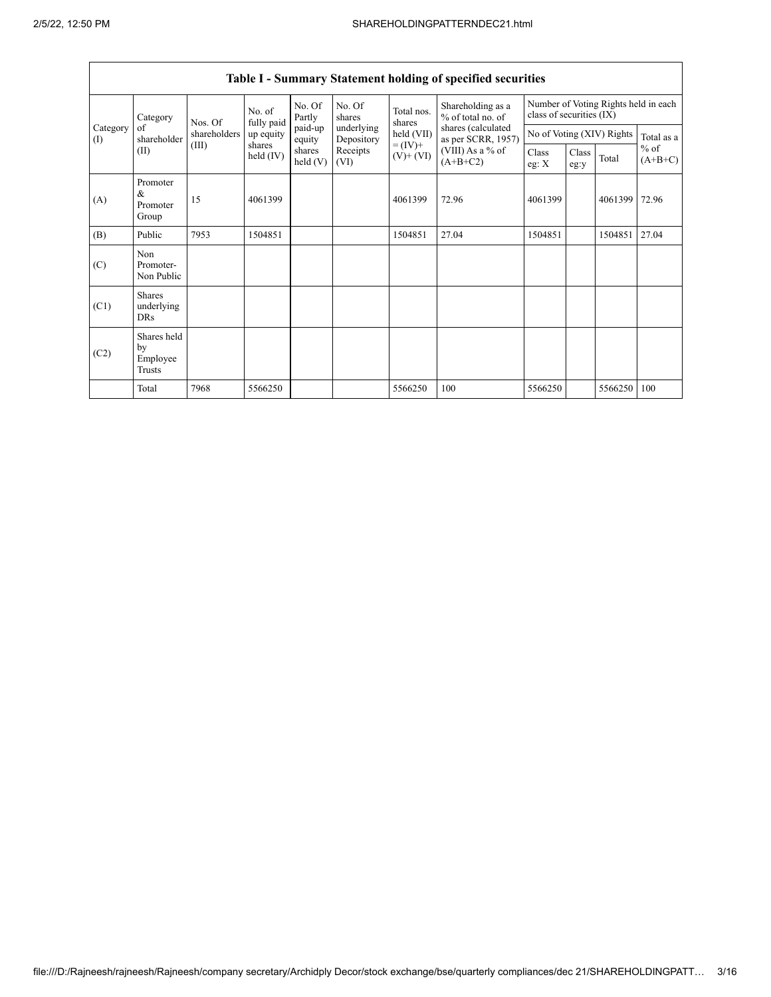|                 | Category                                  | Nos. Of      | No. of<br>fully paid | No. Of<br>Partly   | No. Of<br>shares         | Total nos.<br>shares         | Shareholding as a<br>% of total no. of<br>shares (calculated<br>as per SCRR, 1957)<br>(VIII) As a $%$ of<br>$(A+B+C2)$ | class of securities (IX)  |               |            | Number of Voting Rights held in each |
|-----------------|-------------------------------------------|--------------|----------------------|--------------------|--------------------------|------------------------------|------------------------------------------------------------------------------------------------------------------------|---------------------------|---------------|------------|--------------------------------------|
| Category<br>(I) | of<br>shareholder                         | shareholders | up equity            | paid-up<br>equity  | underlying<br>Depository | held (VII)                   |                                                                                                                        | No of Voting (XIV) Rights |               | Total as a |                                      |
|                 | (II)                                      | (III)        | shares<br>held (IV)  | shares<br>held (V) | Receipts<br>(VI)         | $= (IV) +$<br>$(V)$ + $(VI)$ |                                                                                                                        | Class<br>eg: $X$          | Class<br>eg:y | Total      | $%$ of<br>$(A+B+C)$                  |
| (A)             | Promoter<br>&<br>Promoter<br>Group        | 15           | 4061399              |                    |                          | 4061399                      | 72.96                                                                                                                  | 4061399                   |               | 4061399    | 72.96                                |
| (B)             | Public                                    | 7953         | 1504851              |                    |                          | 1504851                      | 27.04                                                                                                                  | 1504851                   |               | 1504851    | 27.04                                |
| (C)             | Non<br>Promoter-<br>Non Public            |              |                      |                    |                          |                              |                                                                                                                        |                           |               |            |                                      |
| (C1)            | <b>Shares</b><br>underlying<br><b>DRs</b> |              |                      |                    |                          |                              |                                                                                                                        |                           |               |            |                                      |
| (C2)            | Shares held<br>by<br>Employee<br>Trusts   |              |                      |                    |                          |                              |                                                                                                                        |                           |               |            |                                      |
|                 | Total                                     | 7968         | 5566250              |                    |                          | 5566250                      | 100                                                                                                                    | 5566250                   |               | 5566250    | 100                                  |

# **Table I - Summary Statement holding of specified securities**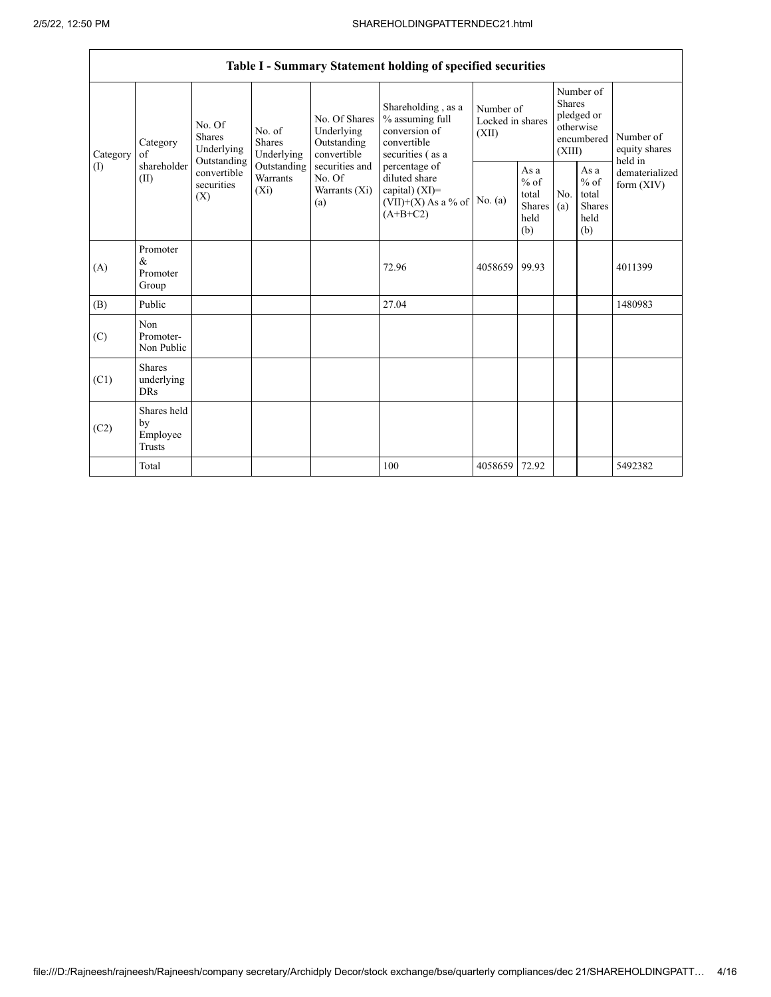Г

|                 |                                           |                                                                                                                                                           |                                                  |                                                                                                    | Table I - Summary Statement holding of specified securities                               |                                                         |                       |                                                                               |                                |                                       |
|-----------------|-------------------------------------------|-----------------------------------------------------------------------------------------------------------------------------------------------------------|--------------------------------------------------|----------------------------------------------------------------------------------------------------|-------------------------------------------------------------------------------------------|---------------------------------------------------------|-----------------------|-------------------------------------------------------------------------------|--------------------------------|---------------------------------------|
| Category<br>(1) | Category<br>of<br>shareholder<br>(II)     | No. Of<br>No. of<br>Shares<br>Shares<br>Underlying<br>Underlying<br>Outstanding<br>Outstanding<br>convertible<br>Warrants<br>securities<br>$(X_i)$<br>(X) |                                                  | No. Of Shares<br>Underlying<br>Outstanding<br>convertible                                          | Shareholding, as a<br>% assuming full<br>conversion of<br>convertible<br>securities (as a | Number of<br>Locked in shares<br>(XII)                  |                       | Number of<br><b>Shares</b><br>pledged or<br>otherwise<br>encumbered<br>(XIII) |                                | Number of<br>equity shares<br>held in |
|                 |                                           |                                                                                                                                                           | securities and<br>No. Of<br>Warrants (Xi)<br>(a) | percentage of<br>diluted share<br>capital) $(XI)$ =<br>$(VII)+(X)$ As a % of No. (a)<br>$(A+B+C2)$ |                                                                                           | As a<br>$%$ of<br>total<br><b>Shares</b><br>held<br>(b) | N <sub>0</sub><br>(a) | As a<br>$%$ of<br>total<br>Shares<br>held<br>(b)                              | dematerialized<br>form $(XIV)$ |                                       |
| (A)             | Promoter<br>&<br>Promoter<br>Group        |                                                                                                                                                           |                                                  |                                                                                                    | 72.96                                                                                     | 4058659                                                 | 99.93                 |                                                                               |                                | 4011399                               |
| (B)             | Public                                    |                                                                                                                                                           |                                                  |                                                                                                    | 27.04                                                                                     |                                                         |                       |                                                                               |                                | 1480983                               |
| (C)             | Non<br>Promoter-<br>Non Public            |                                                                                                                                                           |                                                  |                                                                                                    |                                                                                           |                                                         |                       |                                                                               |                                |                                       |
| (C1)            | <b>Shares</b><br>underlying<br><b>DRs</b> |                                                                                                                                                           |                                                  |                                                                                                    |                                                                                           |                                                         |                       |                                                                               |                                |                                       |
| (C2)            | Shares held<br>by<br>Employee<br>Trusts   |                                                                                                                                                           |                                                  |                                                                                                    |                                                                                           |                                                         |                       |                                                                               |                                |                                       |
|                 | Total                                     |                                                                                                                                                           |                                                  |                                                                                                    | 100                                                                                       | 4058659                                                 | 72.92                 |                                                                               |                                | 5492382                               |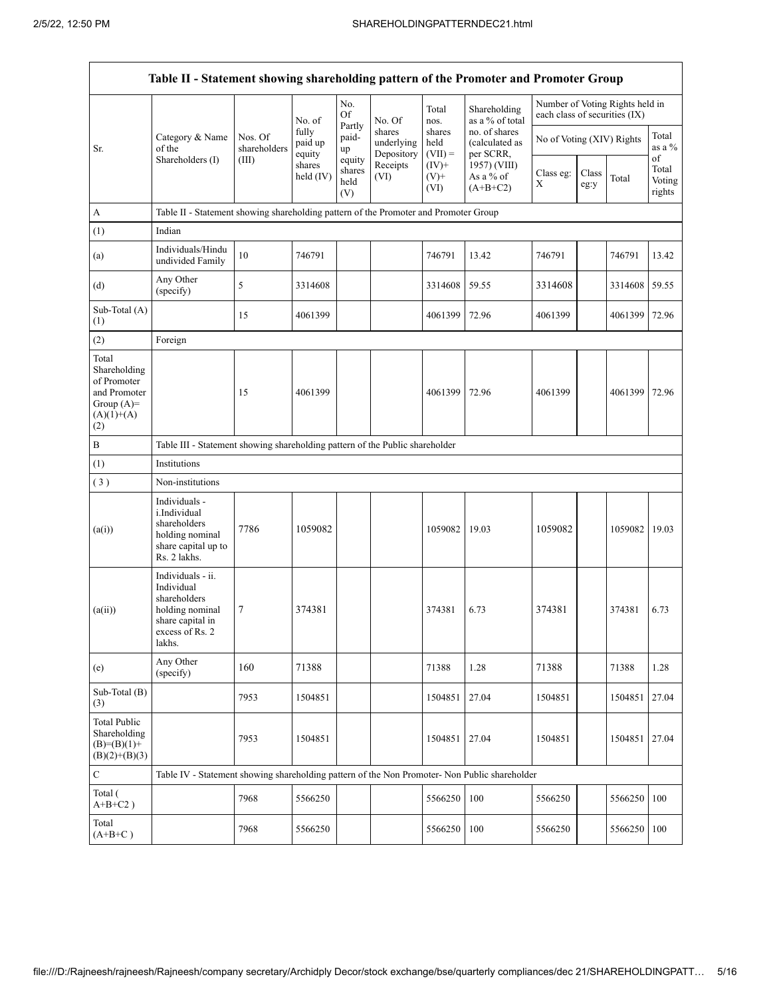|                                                                                             | Table II - Statement showing shareholding pattern of the Promoter and Promoter Group                                |                                                                              |                            |                                 |                                    |                             |                                              |                               |               |                                 |                                 |  |
|---------------------------------------------------------------------------------------------|---------------------------------------------------------------------------------------------------------------------|------------------------------------------------------------------------------|----------------------------|---------------------------------|------------------------------------|-----------------------------|----------------------------------------------|-------------------------------|---------------|---------------------------------|---------------------------------|--|
|                                                                                             |                                                                                                                     |                                                                              | No. of                     | No.<br>Of                       | No. Of                             | Total<br>nos.               | Shareholding<br>as a % of total              | each class of securities (IX) |               | Number of Voting Rights held in |                                 |  |
| Sr.                                                                                         | Category & Name<br>of the                                                                                           | Nos. Of<br>shareholders                                                      | fully<br>paid up<br>equity | Partly<br>paid-<br>up           | shares<br>underlying<br>Depository | shares<br>held<br>$(VII) =$ | no. of shares<br>(calculated as<br>per SCRR, | No of Voting (XIV) Rights     |               |                                 | Total<br>as a %                 |  |
|                                                                                             | Shareholders (I)                                                                                                    | (III)                                                                        | shares<br>held $(IV)$      | equity<br>shares<br>held<br>(V) | Receipts<br>(VI)                   | $(IV)$ +<br>$(V)$ +<br>(VI) | 1957) (VIII)<br>As a % of<br>$(A+B+C2)$      | Class eg:<br>X                | Class<br>eg:y | Total                           | of<br>Total<br>Voting<br>rights |  |
| A                                                                                           | Table II - Statement showing shareholding pattern of the Promoter and Promoter Group                                |                                                                              |                            |                                 |                                    |                             |                                              |                               |               |                                 |                                 |  |
| (1)                                                                                         | Indian                                                                                                              |                                                                              |                            |                                 |                                    |                             |                                              |                               |               |                                 |                                 |  |
| (a)                                                                                         | Individuals/Hindu<br>undivided Family                                                                               | 10                                                                           | 746791                     |                                 |                                    | 746791                      | 13.42                                        | 746791                        |               | 746791                          | 13.42                           |  |
| (d)                                                                                         | Any Other<br>(specify)                                                                                              | 5                                                                            | 3314608                    |                                 |                                    | 3314608                     | 59.55                                        | 3314608                       |               | 3314608                         | 59.55                           |  |
| Sub-Total (A)<br>(1)                                                                        |                                                                                                                     | 15                                                                           | 4061399                    |                                 |                                    | 4061399                     | 72.96                                        | 4061399                       |               | 4061399                         | 72.96                           |  |
| (2)                                                                                         | Foreign                                                                                                             |                                                                              |                            |                                 |                                    |                             |                                              |                               |               |                                 |                                 |  |
| Total<br>Shareholding<br>of Promoter<br>and Promoter<br>Group $(A)=$<br>$(A)(1)+(A)$<br>(2) |                                                                                                                     | 15                                                                           | 4061399                    |                                 |                                    | 4061399                     | 72.96                                        | 4061399                       |               | 4061399                         | 72.96                           |  |
| В                                                                                           |                                                                                                                     | Table III - Statement showing shareholding pattern of the Public shareholder |                            |                                 |                                    |                             |                                              |                               |               |                                 |                                 |  |
| (1)                                                                                         | Institutions                                                                                                        |                                                                              |                            |                                 |                                    |                             |                                              |                               |               |                                 |                                 |  |
| (3)                                                                                         | Non-institutions                                                                                                    |                                                                              |                            |                                 |                                    |                             |                                              |                               |               |                                 |                                 |  |
| (a(i))                                                                                      | Individuals -<br>i.Individual<br>shareholders<br>holding nominal<br>share capital up to<br>Rs. 2 lakhs.             | 7786                                                                         | 1059082                    |                                 |                                    | 1059082                     | 19.03                                        | 1059082                       |               | 1059082                         | 19.03                           |  |
| (a(ii))                                                                                     | Individuals - ii.<br>Individual<br>shareholders<br>holding nominal<br>share capital in<br>excess of Rs. 2<br>lakhs. | 7                                                                            | 374381                     |                                 |                                    | 374381                      | 6.73                                         | 374381                        |               | 374381                          | 6.73                            |  |
| (e)                                                                                         | Any Other<br>(specify)                                                                                              | 160                                                                          | 71388                      |                                 |                                    | 71388                       | 1.28                                         | 71388                         |               | 71388                           | 1.28                            |  |
| Sub-Total (B)<br>(3)                                                                        |                                                                                                                     | 7953                                                                         | 1504851                    |                                 |                                    | 1504851                     | 27.04                                        | 1504851                       |               | 1504851                         | 27.04                           |  |
| <b>Total Public</b><br>Shareholding<br>$(B)=(B)(1)+$<br>$(B)(2)+(B)(3)$                     |                                                                                                                     | 7953                                                                         | 1504851                    |                                 |                                    | 1504851                     | 27.04                                        | 1504851                       |               | 1504851                         | 27.04                           |  |
| С                                                                                           | Table IV - Statement showing shareholding pattern of the Non Promoter- Non Public shareholder                       |                                                                              |                            |                                 |                                    |                             |                                              |                               |               |                                 |                                 |  |
| Total (<br>$A+B+C2$ )                                                                       |                                                                                                                     | 7968                                                                         | 5566250                    |                                 |                                    | 5566250                     | 100                                          | 5566250                       |               | 5566250                         | 100                             |  |
| Total<br>$(A+B+C)$                                                                          |                                                                                                                     | 7968                                                                         | 5566250                    |                                 |                                    | 5566250                     | 100                                          | 5566250                       |               | 5566250                         | 100                             |  |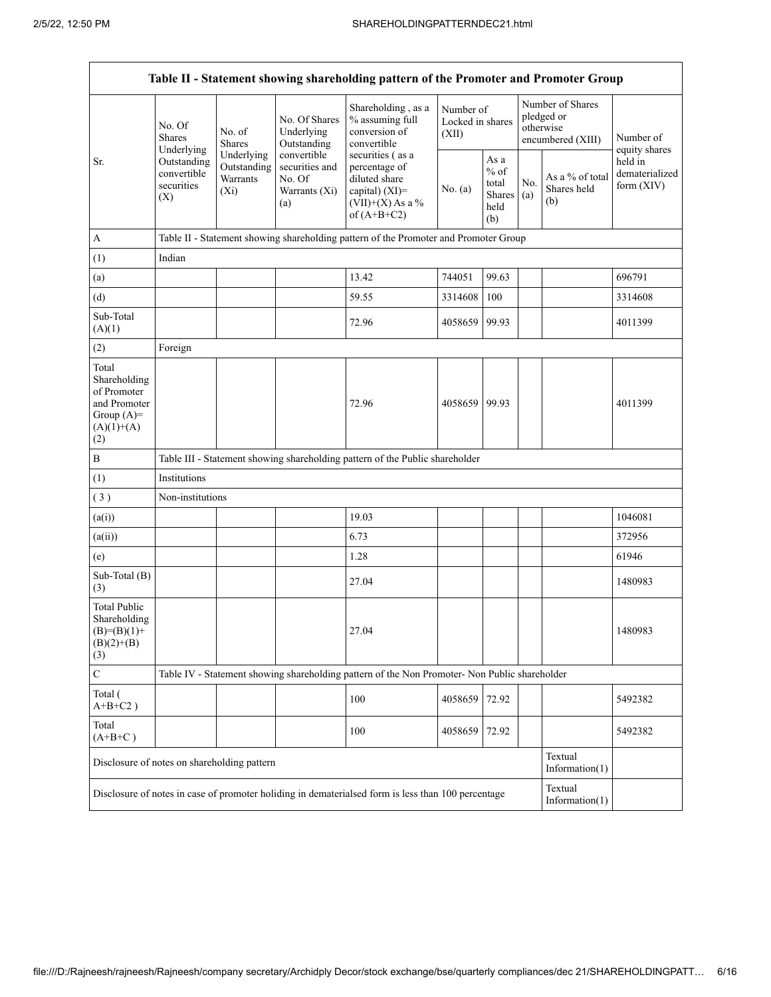| Table II - Statement showing shareholding pattern of the Promoter and Promoter Group        |                                                                                                                                              |                         |                                                                 |                                                                                                    |                                        |                                                         |            |                                                                  |                                         |  |  |  |
|---------------------------------------------------------------------------------------------|----------------------------------------------------------------------------------------------------------------------------------------------|-------------------------|-----------------------------------------------------------------|----------------------------------------------------------------------------------------------------|----------------------------------------|---------------------------------------------------------|------------|------------------------------------------------------------------|-----------------------------------------|--|--|--|
|                                                                                             | No. Of<br>No. of<br><b>Shares</b><br><b>Shares</b><br>Underlying<br>Underlying<br>Outstanding<br>convertible<br>securities<br>$(X_i)$<br>(X) |                         | No. Of Shares<br>Underlying<br>Outstanding                      | Shareholding, as a<br>% assuming full<br>conversion of<br>convertible<br>securities (as a          | Number of<br>Locked in shares<br>(XII) |                                                         |            | Number of Shares<br>pledged or<br>otherwise<br>encumbered (XIII) | Number of<br>equity shares              |  |  |  |
| Sr.                                                                                         |                                                                                                                                              | Outstanding<br>Warrants | convertible<br>securities and<br>No. Of<br>Warrants (Xi)<br>(a) | percentage of<br>diluted share<br>capital) (XI)=<br>$(VII)+(X)$ As a %<br>of $(A+B+C2)$            | No. $(a)$                              | As a<br>$%$ of<br>total<br><b>Shares</b><br>held<br>(b) | No.<br>(a) | As a % of total<br>Shares held<br>(b)                            | held in<br>dematerialized<br>form (XIV) |  |  |  |
| $\mathbf{A}$                                                                                |                                                                                                                                              |                         |                                                                 | Table II - Statement showing shareholding pattern of the Promoter and Promoter Group               |                                        |                                                         |            |                                                                  |                                         |  |  |  |
| (1)                                                                                         | Indian                                                                                                                                       |                         |                                                                 |                                                                                                    |                                        |                                                         |            |                                                                  |                                         |  |  |  |
| (a)                                                                                         |                                                                                                                                              |                         |                                                                 | 13.42                                                                                              | 744051                                 | 99.63                                                   |            |                                                                  | 696791                                  |  |  |  |
| (d)                                                                                         |                                                                                                                                              |                         |                                                                 | 59.55                                                                                              | 3314608                                | 100                                                     |            |                                                                  | 3314608                                 |  |  |  |
| Sub-Total<br>(A)(1)                                                                         |                                                                                                                                              |                         |                                                                 | 72.96                                                                                              | 4058659                                | 99.93                                                   |            |                                                                  | 4011399                                 |  |  |  |
| (2)                                                                                         | Foreign                                                                                                                                      |                         |                                                                 |                                                                                                    |                                        |                                                         |            |                                                                  |                                         |  |  |  |
| Total<br>Shareholding<br>of Promoter<br>and Promoter<br>Group $(A)=$<br>$(A)(1)+(A)$<br>(2) |                                                                                                                                              |                         |                                                                 | 72.96                                                                                              | 4058659 99.93                          |                                                         |            |                                                                  | 4011399                                 |  |  |  |
| $\, {\bf B}$                                                                                |                                                                                                                                              |                         |                                                                 | Table III - Statement showing shareholding pattern of the Public shareholder                       |                                        |                                                         |            |                                                                  |                                         |  |  |  |
| (1)                                                                                         | Institutions                                                                                                                                 |                         |                                                                 |                                                                                                    |                                        |                                                         |            |                                                                  |                                         |  |  |  |
| (3)                                                                                         | Non-institutions                                                                                                                             |                         |                                                                 |                                                                                                    |                                        |                                                         |            |                                                                  |                                         |  |  |  |
| (a(i))                                                                                      |                                                                                                                                              |                         |                                                                 | 19.03                                                                                              |                                        |                                                         |            |                                                                  | 1046081                                 |  |  |  |
| (a(ii))                                                                                     |                                                                                                                                              |                         |                                                                 | 6.73                                                                                               |                                        |                                                         |            |                                                                  | 372956                                  |  |  |  |
| (e)                                                                                         |                                                                                                                                              |                         |                                                                 | 1.28                                                                                               |                                        |                                                         |            |                                                                  | 61946                                   |  |  |  |
| Sub-Total (B)<br>(3)                                                                        |                                                                                                                                              |                         |                                                                 | 27.04                                                                                              |                                        |                                                         |            |                                                                  | 1480983                                 |  |  |  |
| <b>Total Public</b><br>Shareholding<br>$(B)=(B)(1)+$<br>$(B)(2)+(B)$<br>(3)                 |                                                                                                                                              |                         |                                                                 | 27.04                                                                                              |                                        |                                                         |            |                                                                  | 1480983                                 |  |  |  |
| $\mathbf C$                                                                                 |                                                                                                                                              |                         |                                                                 | Table IV - Statement showing shareholding pattern of the Non Promoter- Non Public shareholder      |                                        |                                                         |            |                                                                  |                                         |  |  |  |
| Total (<br>$A+B+C2$ )                                                                       |                                                                                                                                              |                         |                                                                 | 100                                                                                                | 4058659                                | 72.92                                                   |            |                                                                  | 5492382                                 |  |  |  |
| Total<br>$(A+B+C)$                                                                          |                                                                                                                                              |                         |                                                                 | 100                                                                                                | 4058659                                | 72.92                                                   |            |                                                                  | 5492382                                 |  |  |  |
| Disclosure of notes on shareholding pattern                                                 |                                                                                                                                              |                         |                                                                 |                                                                                                    |                                        |                                                         |            | Textual<br>Information $(1)$                                     |                                         |  |  |  |
|                                                                                             |                                                                                                                                              |                         |                                                                 | Disclosure of notes in case of promoter holiding in dematerialsed form is less than 100 percentage |                                        |                                                         |            | Textual<br>Information(1)                                        |                                         |  |  |  |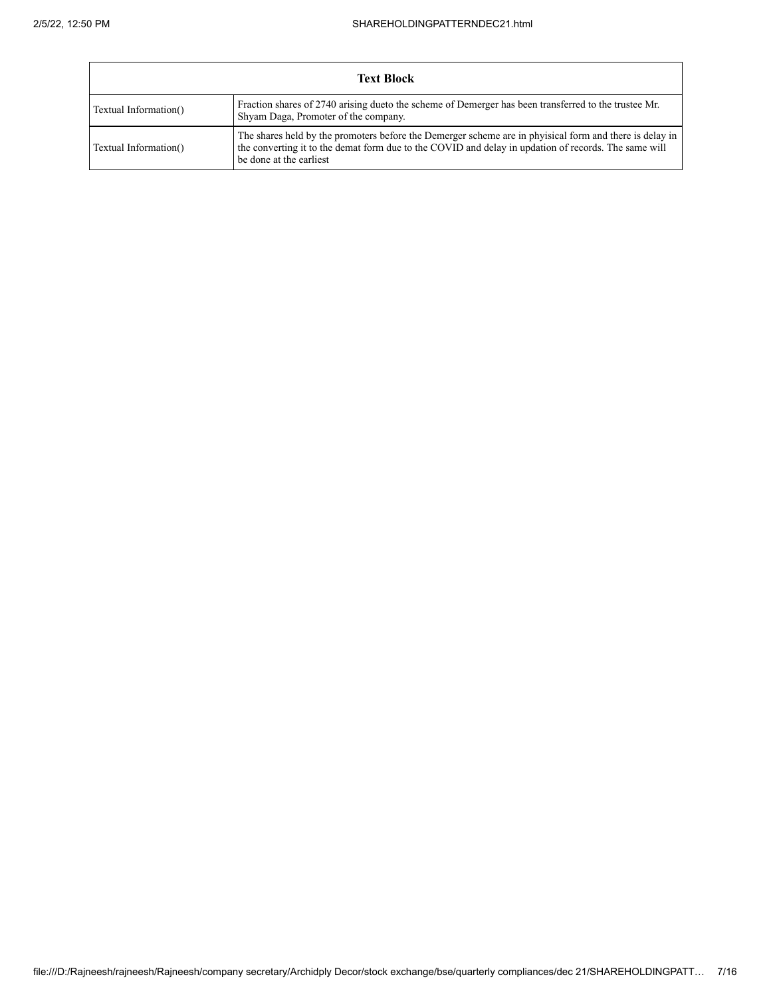Г

┑

| <b>Text Block</b>     |                                                                                                                                                                                                                                           |  |  |  |  |  |  |
|-----------------------|-------------------------------------------------------------------------------------------------------------------------------------------------------------------------------------------------------------------------------------------|--|--|--|--|--|--|
| Textual Information() | Fraction shares of 2740 arising due to the scheme of Demerger has been transferred to the trustee Mr.<br>Shyam Daga, Promoter of the company.                                                                                             |  |  |  |  |  |  |
| Textual Information() | The shares held by the promoters before the Demerger scheme are in physical form and there is delay in<br>the converting it to the demat form due to the COVID and delay in updation of records. The same will<br>be done at the earliest |  |  |  |  |  |  |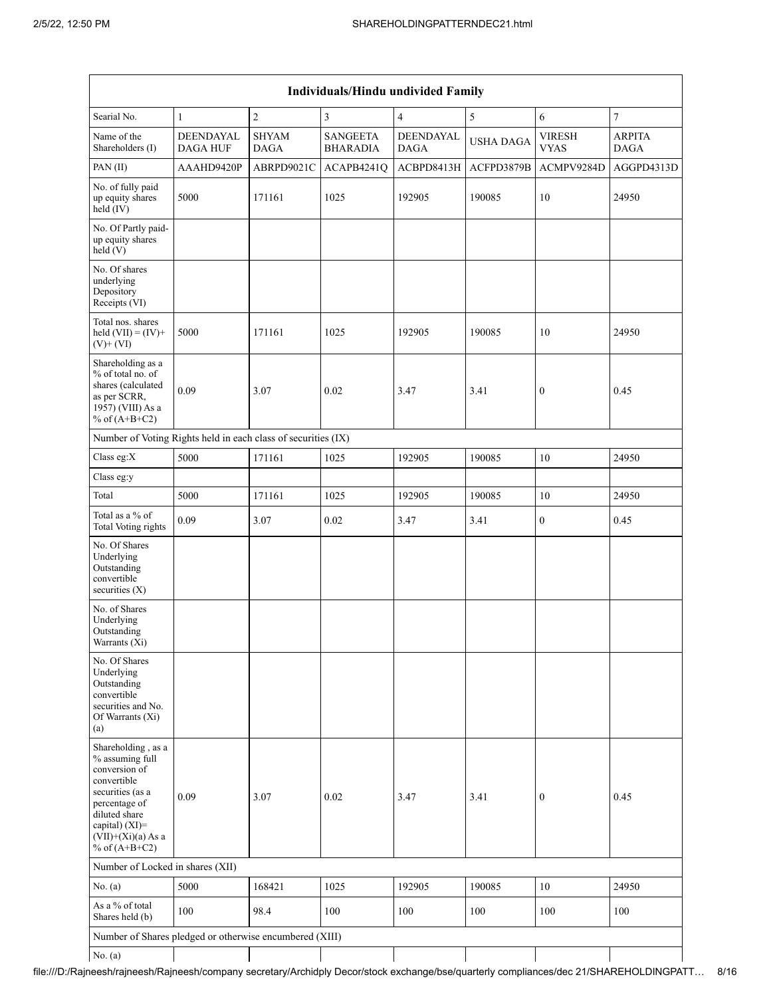| Individuals/Hindu undivided Family                                                                                                                                                          |                              |                             |                                    |                          |                  |                              |                              |  |  |  |  |
|---------------------------------------------------------------------------------------------------------------------------------------------------------------------------------------------|------------------------------|-----------------------------|------------------------------------|--------------------------|------------------|------------------------------|------------------------------|--|--|--|--|
| Searial No.                                                                                                                                                                                 | $\mathbf{1}$                 | $\overline{2}$              | 3                                  | $\overline{4}$           | 5                | 6                            | $\overline{7}$               |  |  |  |  |
| Name of the<br>Shareholders (I)                                                                                                                                                             | DEENDAYAL<br><b>DAGA HUF</b> | <b>SHYAM</b><br><b>DAGA</b> | <b>SANGEETA</b><br><b>BHARADIA</b> | DEENDAYAL<br><b>DAGA</b> | <b>USHA DAGA</b> | <b>VIRESH</b><br><b>VYAS</b> | <b>ARPITA</b><br><b>DAGA</b> |  |  |  |  |
| PAN(II)                                                                                                                                                                                     | AAAHD9420P                   | ABRPD9021C                  | ACAPB4241Q                         | ACBPD8413H               | ACFPD3879B       | ACMPV9284D                   | AGGPD4313D                   |  |  |  |  |
| No. of fully paid<br>up equity shares<br>held (IV)                                                                                                                                          | 5000                         | 171161                      | 1025                               | 192905                   | 190085           | 10                           | 24950                        |  |  |  |  |
| No. Of Partly paid-<br>up equity shares<br>held(V)                                                                                                                                          |                              |                             |                                    |                          |                  |                              |                              |  |  |  |  |
| No. Of shares<br>underlying<br>Depository<br>Receipts (VI)                                                                                                                                  |                              |                             |                                    |                          |                  |                              |                              |  |  |  |  |
| Total nos. shares<br>held $(VII) = (IV) +$<br>$(V)$ + $(VI)$                                                                                                                                | 5000                         | 171161                      | 1025                               | 192905                   | 190085           | 10                           | 24950                        |  |  |  |  |
| Shareholding as a<br>% of total no. of<br>shares (calculated<br>as per SCRR,<br>1957) (VIII) As a<br>% of $(A+B+C2)$                                                                        | 0.09                         | 3.07                        | 0.02                               | 3.47                     | 3.41             | $\boldsymbol{0}$             | 0.45                         |  |  |  |  |
| Number of Voting Rights held in each class of securities (IX)                                                                                                                               |                              |                             |                                    |                          |                  |                              |                              |  |  |  |  |
| Class eg:X                                                                                                                                                                                  | 5000                         | 171161                      | 1025                               | 192905                   | 190085           | 10                           | 24950                        |  |  |  |  |
| Class eg:y                                                                                                                                                                                  |                              |                             |                                    |                          |                  |                              |                              |  |  |  |  |
| Total                                                                                                                                                                                       | 5000                         | 171161                      | 1025                               | 192905                   | 190085           | 10                           | 24950                        |  |  |  |  |
| Total as a % of<br>Total Voting rights                                                                                                                                                      | 0.09                         | 3.07                        | 0.02                               | 3.47                     | 3.41             | $\boldsymbol{0}$             | 0.45                         |  |  |  |  |
| No. Of Shares<br>Underlying<br>Outstanding<br>convertible<br>securities $(X)$                                                                                                               |                              |                             |                                    |                          |                  |                              |                              |  |  |  |  |
| No. of Shares<br>Underlying<br>Outstanding<br>Warrants (Xi)                                                                                                                                 |                              |                             |                                    |                          |                  |                              |                              |  |  |  |  |
| No. Of Shares<br>Underlying<br>Outstanding<br>convertible<br>securities and No.<br>Of Warrants (Xi)<br>(a)                                                                                  |                              |                             |                                    |                          |                  |                              |                              |  |  |  |  |
| Shareholding, as a<br>% assuming full<br>conversion of<br>convertible<br>securities (as a<br>percentage of<br>diluted share<br>capital) $(XI)$ =<br>$(VII)+(Xi)(a)$ As a<br>% of $(A+B+C2)$ | 0.09                         | 3.07                        | 0.02                               | 3.47                     | 3.41             | $\mathbf{0}$                 | 0.45                         |  |  |  |  |
| Number of Locked in shares (XII)                                                                                                                                                            |                              |                             |                                    |                          |                  |                              |                              |  |  |  |  |
| No. $(a)$                                                                                                                                                                                   | 5000                         | 168421                      | 1025                               | 192905                   | 190085           | 10                           | 24950                        |  |  |  |  |
| As a % of total<br>Shares held (b)                                                                                                                                                          | 100                          | 98.4                        | 100                                | 100                      | 100              | 100                          | 100                          |  |  |  |  |
| Number of Shares pledged or otherwise encumbered (XIII)                                                                                                                                     |                              |                             |                                    |                          |                  |                              |                              |  |  |  |  |
| No. $(a)$                                                                                                                                                                                   |                              |                             |                                    |                          |                  |                              |                              |  |  |  |  |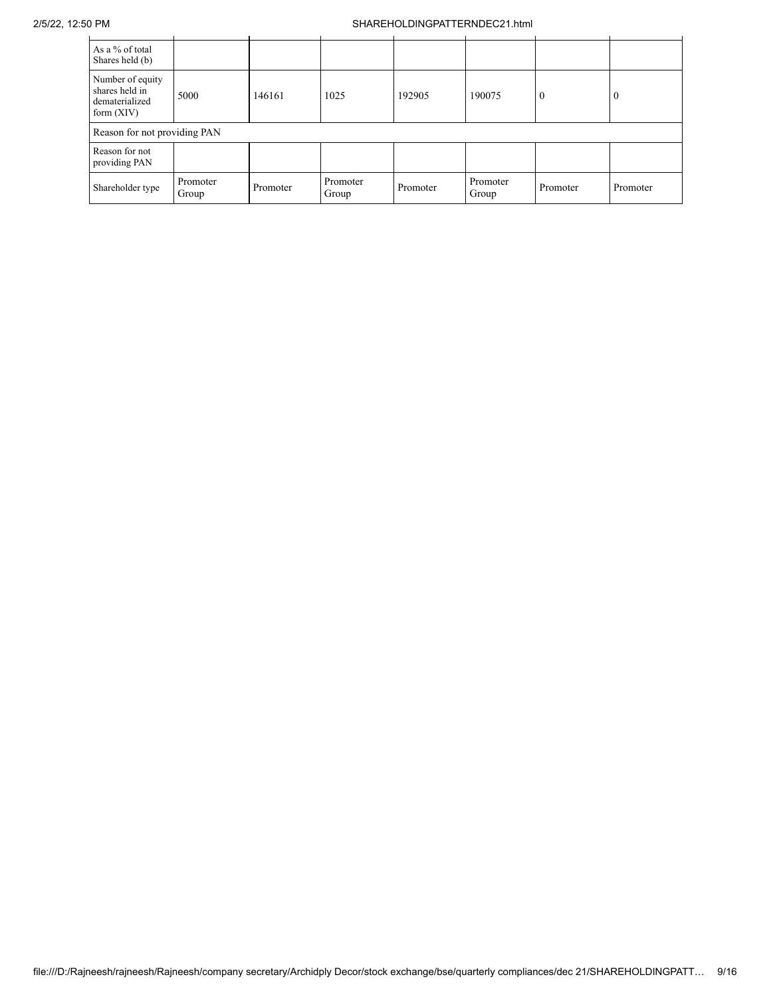### 2/5/22, 12:50 PM SHAREHOLDINGPATTERNDEC21.html

| As a % of total<br>Shares held (b)                                   |                   |          |                   |          |                   |          |              |
|----------------------------------------------------------------------|-------------------|----------|-------------------|----------|-------------------|----------|--------------|
| Number of equity<br>shares held in<br>dematerialized<br>form $(XIV)$ | 5000              | 146161   | 1025              | 192905   | 190075            | $\Omega$ | $\mathbf{0}$ |
| Reason for not providing PAN                                         |                   |          |                   |          |                   |          |              |
| Reason for not<br>providing PAN                                      |                   |          |                   |          |                   |          |              |
| Shareholder type                                                     | Promoter<br>Group | Promoter | Promoter<br>Group | Promoter | Promoter<br>Group | Promoter | Promoter     |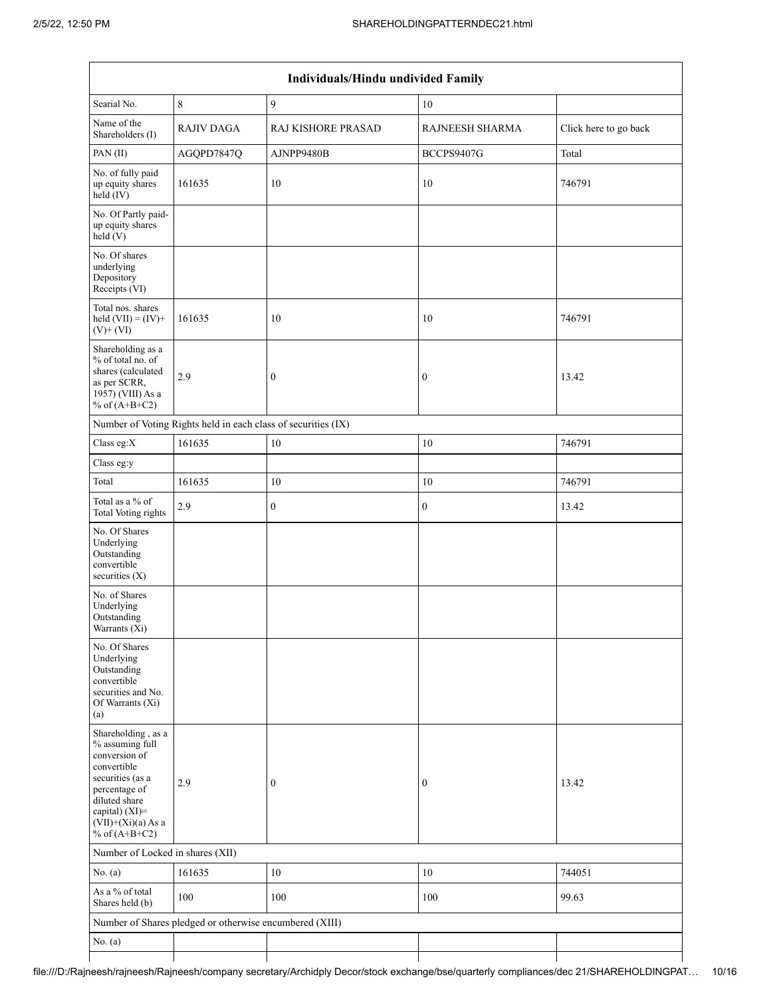|                                                                                                                                                                                          | Individuals/Hindu undivided Family                            |                    |                  |                       |  |  |  |  |  |  |
|------------------------------------------------------------------------------------------------------------------------------------------------------------------------------------------|---------------------------------------------------------------|--------------------|------------------|-----------------------|--|--|--|--|--|--|
| Searial No.                                                                                                                                                                              | $\,8\,$                                                       | 9                  | 10               |                       |  |  |  |  |  |  |
| Name of the<br>Shareholders (I)                                                                                                                                                          | <b>RAJIV DAGA</b>                                             | RAJ KISHORE PRASAD | RAJNEESH SHARMA  | Click here to go back |  |  |  |  |  |  |
| PAN(II)                                                                                                                                                                                  | AGQPD7847Q                                                    | AJNPP9480B         | BCCPS9407G       | Total                 |  |  |  |  |  |  |
| No. of fully paid<br>up equity shares<br>$held$ (IV)                                                                                                                                     | 161635                                                        | 10                 | 10               | 746791                |  |  |  |  |  |  |
| No. Of Partly paid-<br>up equity shares<br>held(V)                                                                                                                                       |                                                               |                    |                  |                       |  |  |  |  |  |  |
| No. Of shares<br>underlying<br>Depository<br>Receipts (VI)                                                                                                                               |                                                               |                    |                  |                       |  |  |  |  |  |  |
| Total nos. shares<br>held $(VII) = (IV) +$<br>$(V)$ + $(VI)$                                                                                                                             | 161635                                                        | 10                 | 10               | 746791                |  |  |  |  |  |  |
| Shareholding as a<br>% of total no. of<br>shares (calculated<br>as per SCRR,<br>1957) (VIII) As a<br>% of $(A+B+C2)$                                                                     | 2.9                                                           | $\boldsymbol{0}$   | $\boldsymbol{0}$ | 13.42                 |  |  |  |  |  |  |
|                                                                                                                                                                                          | Number of Voting Rights held in each class of securities (IX) |                    |                  |                       |  |  |  |  |  |  |
| Class eg:X                                                                                                                                                                               | 161635                                                        | $10\,$             | 10               | 746791                |  |  |  |  |  |  |
| Class eg:y                                                                                                                                                                               |                                                               |                    |                  |                       |  |  |  |  |  |  |
| Total                                                                                                                                                                                    | 161635                                                        | 10                 | 10               | 746791                |  |  |  |  |  |  |
| Total as a % of<br>Total Voting rights                                                                                                                                                   | 2.9                                                           | $\boldsymbol{0}$   | $\boldsymbol{0}$ | 13.42                 |  |  |  |  |  |  |
| No. Of Shares<br>Underlying<br>Outstanding<br>convertible<br>securities $(X)$                                                                                                            |                                                               |                    |                  |                       |  |  |  |  |  |  |
| No. of Shares<br>Underlying<br>Outstanding<br>Warrants (Xi)                                                                                                                              |                                                               |                    |                  |                       |  |  |  |  |  |  |
| No. Of Shares<br>Underlying<br>Outstanding<br>convertible<br>securities and No.<br>Of Warrants (Xi)<br>(a)                                                                               |                                                               |                    |                  |                       |  |  |  |  |  |  |
| Shareholding, as a<br>% assuming full<br>conversion of<br>convertible<br>securities (as a<br>percentage of<br>diluted share<br>capital) (XI)=<br>$(VII)+(Xi)(a)$ As a<br>% of $(A+B+C2)$ | 2.9                                                           | $\boldsymbol{0}$   | $\boldsymbol{0}$ | 13.42                 |  |  |  |  |  |  |
| Number of Locked in shares (XII)                                                                                                                                                         |                                                               |                    |                  |                       |  |  |  |  |  |  |
| No. $(a)$                                                                                                                                                                                | 161635                                                        | 10                 | 10               | 744051                |  |  |  |  |  |  |
| As a % of total<br>Shares held (b)                                                                                                                                                       | 100                                                           | 100                | 100              | 99.63                 |  |  |  |  |  |  |
|                                                                                                                                                                                          | Number of Shares pledged or otherwise encumbered (XIII)       |                    |                  |                       |  |  |  |  |  |  |
| No. $(a)$                                                                                                                                                                                |                                                               |                    |                  |                       |  |  |  |  |  |  |
|                                                                                                                                                                                          |                                                               |                    |                  |                       |  |  |  |  |  |  |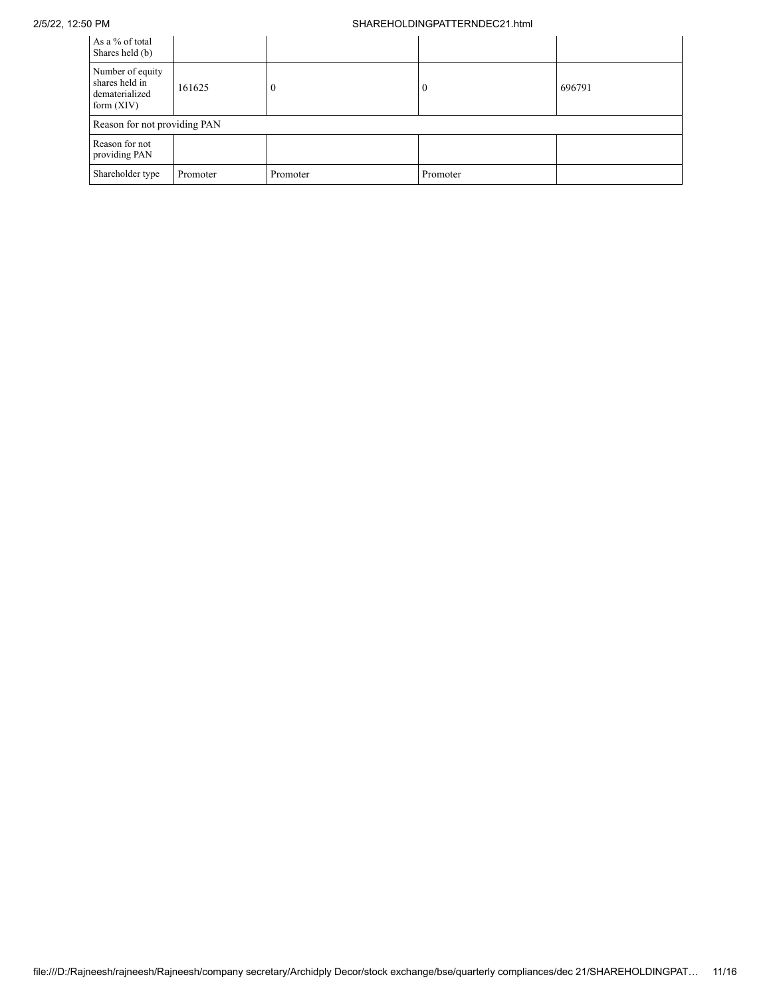### 2/5/22, 12:50 PM SHAREHOLDINGPATTERNDEC21.html

| As a % of total<br>Shares held (b)                                   |          |          |          |        |
|----------------------------------------------------------------------|----------|----------|----------|--------|
| Number of equity<br>shares held in<br>dematerialized<br>form $(XIV)$ | 161625   |          |          | 696791 |
| Reason for not providing PAN                                         |          |          |          |        |
| Reason for not<br>providing PAN                                      |          |          |          |        |
| Shareholder type                                                     | Promoter | Promoter | Promoter |        |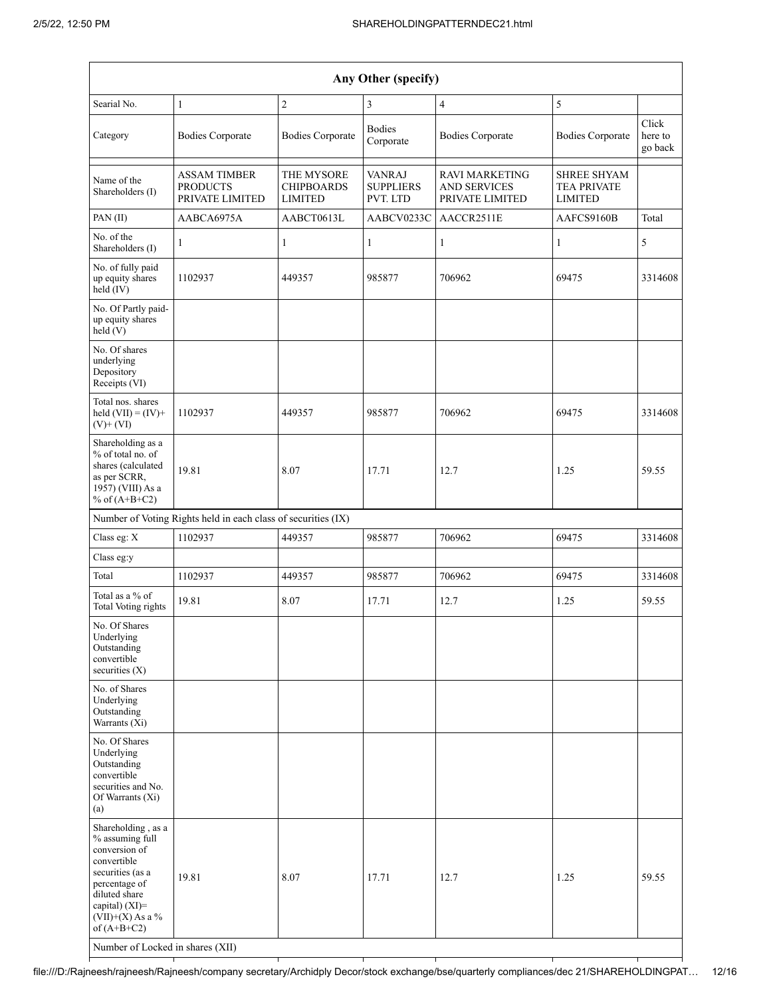|                                                                                                                                                                                                                          |                                                               |                                                   | Any Other (specify)                           |                                                                 |                                                            |                             |
|--------------------------------------------------------------------------------------------------------------------------------------------------------------------------------------------------------------------------|---------------------------------------------------------------|---------------------------------------------------|-----------------------------------------------|-----------------------------------------------------------------|------------------------------------------------------------|-----------------------------|
| Searial No.                                                                                                                                                                                                              | $\mathbf{1}$                                                  | $\sqrt{2}$                                        | 3                                             | $\overline{4}$                                                  | 5                                                          |                             |
| Category                                                                                                                                                                                                                 | <b>Bodies Corporate</b>                                       | <b>Bodies Corporate</b>                           | <b>Bodies</b><br>Corporate                    | <b>Bodies Corporate</b>                                         | <b>Bodies Corporate</b>                                    | Click<br>here to<br>go back |
| Name of the<br>Shareholders (I)                                                                                                                                                                                          | <b>ASSAM TIMBER</b><br><b>PRODUCTS</b><br>PRIVATE LIMITED     | THE MYSORE<br><b>CHIPBOARDS</b><br><b>LIMITED</b> | <b>VANRAJ</b><br><b>SUPPLIERS</b><br>PVT. LTD | <b>RAVI MARKETING</b><br><b>AND SERVICES</b><br>PRIVATE LIMITED | <b>SHREE SHYAM</b><br><b>TEA PRIVATE</b><br><b>LIMITED</b> |                             |
| PAN (II)                                                                                                                                                                                                                 | AABCA6975A                                                    | AABCT0613L                                        | AABCV0233C                                    | AACCR2511E                                                      | AAFCS9160B                                                 | Total                       |
| No. of the<br>Shareholders (I)                                                                                                                                                                                           | 1                                                             | $\mathbf{1}$                                      | 1                                             | 1                                                               | 1                                                          | 5                           |
| No. of fully paid<br>up equity shares<br>held (IV)                                                                                                                                                                       | 1102937                                                       | 449357                                            | 985877                                        | 706962                                                          | 69475                                                      | 3314608                     |
| No. Of Partly paid-<br>up equity shares<br>held (V)                                                                                                                                                                      |                                                               |                                                   |                                               |                                                                 |                                                            |                             |
| No. Of shares<br>underlying<br>Depository<br>Receipts (VI)                                                                                                                                                               |                                                               |                                                   |                                               |                                                                 |                                                            |                             |
| Total nos. shares<br>held $(VII) = (IV) +$<br>$(V)+(VI)$                                                                                                                                                                 | 1102937                                                       | 449357                                            | 985877                                        | 706962                                                          | 69475                                                      | 3314608                     |
| Shareholding as a<br>% of total no. of<br>shares (calculated<br>as per SCRR,<br>1957) (VIII) As a<br>% of $(A+B+C2)$                                                                                                     | 19.81                                                         | 8.07                                              | 17.71                                         | 12.7                                                            | 1.25                                                       | 59.55                       |
|                                                                                                                                                                                                                          | Number of Voting Rights held in each class of securities (IX) |                                                   |                                               |                                                                 |                                                            |                             |
| Class eg: X                                                                                                                                                                                                              | 1102937                                                       | 449357                                            | 985877                                        | 706962                                                          | 69475                                                      | 3314608                     |
| Class eg:y                                                                                                                                                                                                               |                                                               |                                                   |                                               |                                                                 |                                                            |                             |
| Total                                                                                                                                                                                                                    | 1102937                                                       | 449357                                            | 985877                                        | 706962                                                          | 69475                                                      | 3314608                     |
| Total as a % of<br>Total Voting rights                                                                                                                                                                                   | 19.81                                                         | 8.07                                              | 17.71                                         | 12.7                                                            | 1.25                                                       | 59.55                       |
| No. Of Shares<br>Underlying<br>Outstanding<br>convertible<br>securities $(X)$                                                                                                                                            |                                                               |                                                   |                                               |                                                                 |                                                            |                             |
| No. of Shares<br>Underlying<br>Outstanding<br>Warrants (Xi)                                                                                                                                                              |                                                               |                                                   |                                               |                                                                 |                                                            |                             |
| No. Of Shares<br>Underlying<br>Outstanding<br>convertible<br>securities and No.<br>Of Warrants (Xi)<br>(a)                                                                                                               |                                                               |                                                   |                                               |                                                                 |                                                            |                             |
| Shareholding, as a<br>% assuming full<br>conversion of<br>convertible<br>securities (as a<br>percentage of<br>diluted share<br>capital) (XI)=<br>$(VII)+(X)$ As a %<br>of $(A+B+C2)$<br>Number of Locked in shares (XII) | 19.81                                                         | 8.07                                              | 17.71                                         | 12.7                                                            | 1.25                                                       | 59.55                       |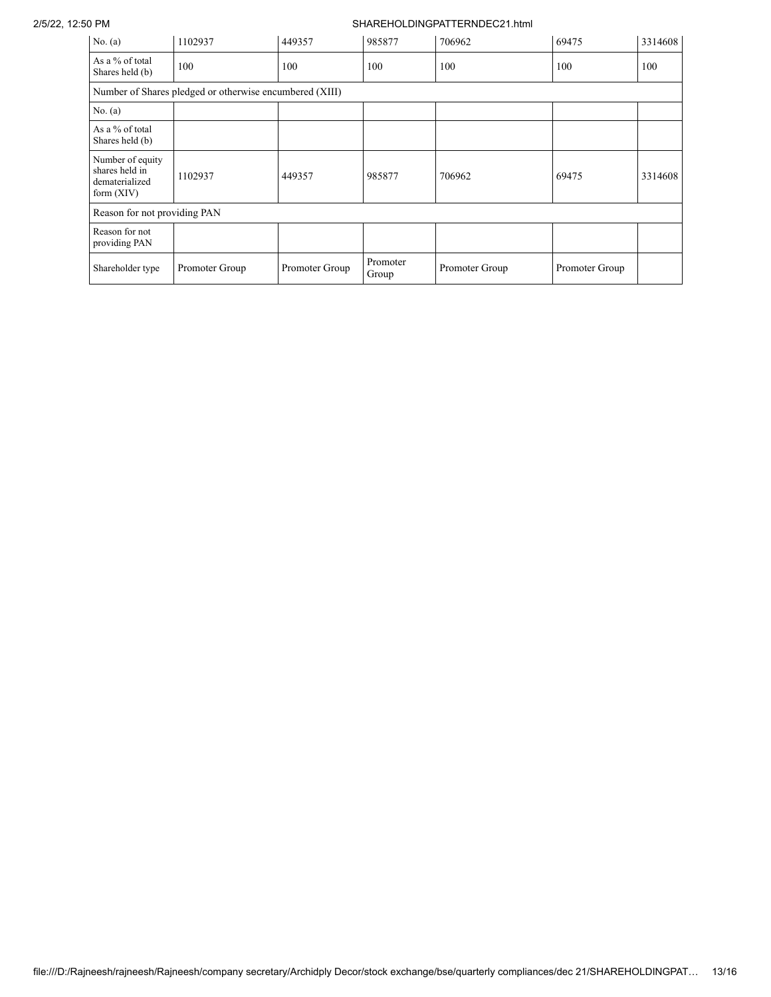## 2/5/22, 12:50 PM SHAREHOLDINGPATTERNDEC21.html

| No. $(a)$                                                            | 1102937        | 449357         | 985877            | 706962         | 69475          | 3314608 |  |  |
|----------------------------------------------------------------------|----------------|----------------|-------------------|----------------|----------------|---------|--|--|
| As a % of total<br>Shares held (b)                                   | 100            | 100            | 100               | 100            | 100            | 100     |  |  |
| Number of Shares pledged or otherwise encumbered (XIII)              |                |                |                   |                |                |         |  |  |
| No. (a)                                                              |                |                |                   |                |                |         |  |  |
| As a % of total<br>Shares held (b)                                   |                |                |                   |                |                |         |  |  |
| Number of equity<br>shares held in<br>dematerialized<br>form $(XIV)$ | 1102937        | 449357         | 985877            | 706962         | 69475          | 3314608 |  |  |
| Reason for not providing PAN                                         |                |                |                   |                |                |         |  |  |
| Reason for not<br>providing PAN                                      |                |                |                   |                |                |         |  |  |
| Shareholder type                                                     | Promoter Group | Promoter Group | Promoter<br>Group | Promoter Group | Promoter Group |         |  |  |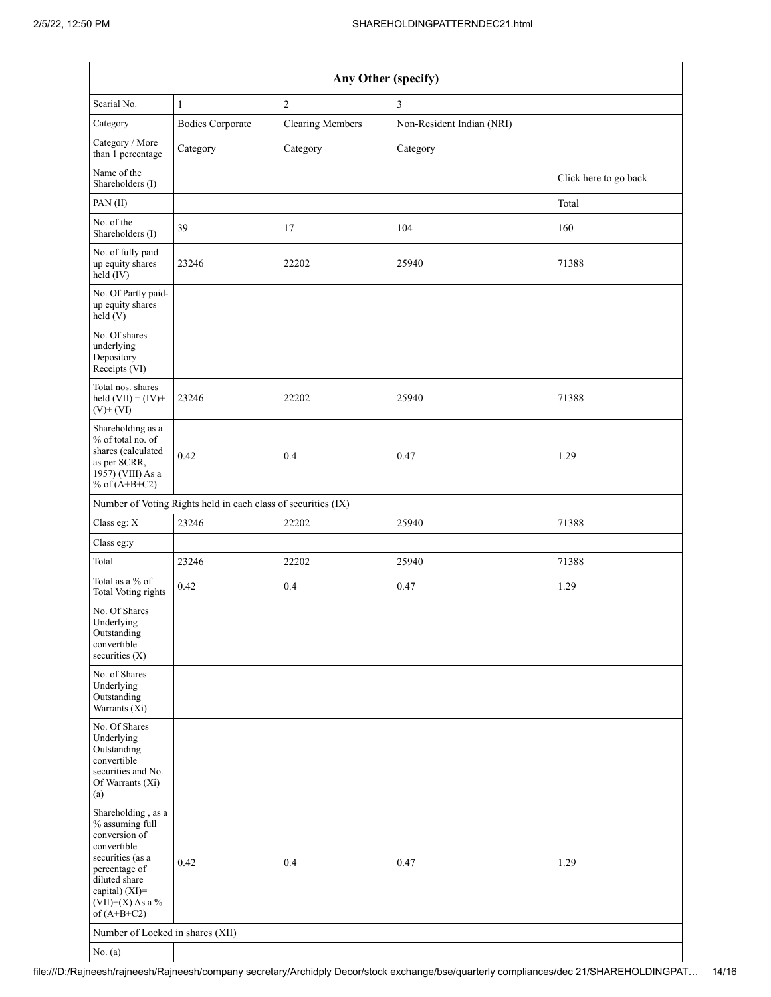| Any Other (specify)                                                                                                                                                                  |                                                               |                         |                           |                       |  |  |  |  |
|--------------------------------------------------------------------------------------------------------------------------------------------------------------------------------------|---------------------------------------------------------------|-------------------------|---------------------------|-----------------------|--|--|--|--|
| Searial No.                                                                                                                                                                          | $\mathbf{1}$                                                  | $\boldsymbol{2}$        | 3                         |                       |  |  |  |  |
| Category                                                                                                                                                                             | <b>Bodies Corporate</b>                                       | <b>Clearing Members</b> | Non-Resident Indian (NRI) |                       |  |  |  |  |
| Category / More<br>than 1 percentage                                                                                                                                                 | Category                                                      | Category                | Category                  |                       |  |  |  |  |
| Name of the<br>Shareholders (I)                                                                                                                                                      |                                                               |                         |                           | Click here to go back |  |  |  |  |
| PAN(II)                                                                                                                                                                              |                                                               |                         |                           | Total                 |  |  |  |  |
| No. of the<br>Shareholders (I)                                                                                                                                                       | 39                                                            | 17                      | 104                       | 160                   |  |  |  |  |
| No. of fully paid<br>up equity shares<br>held (IV)                                                                                                                                   | 23246                                                         | 22202                   | 25940                     | 71388                 |  |  |  |  |
| No. Of Partly paid-<br>up equity shares<br>held (V)                                                                                                                                  |                                                               |                         |                           |                       |  |  |  |  |
| No. Of shares<br>underlying<br>Depository<br>Receipts (VI)                                                                                                                           |                                                               |                         |                           |                       |  |  |  |  |
| Total nos. shares<br>held $(VII) = (IV) +$<br>$(V)$ + $(VI)$                                                                                                                         | 23246                                                         | 22202                   | 25940                     | 71388                 |  |  |  |  |
| Shareholding as a<br>% of total no. of<br>shares (calculated<br>as per SCRR,<br>1957) (VIII) As a<br>% of $(A+B+C2)$                                                                 | 0.42                                                          | 0.4                     | 0.47                      | 1.29                  |  |  |  |  |
|                                                                                                                                                                                      | Number of Voting Rights held in each class of securities (IX) |                         |                           |                       |  |  |  |  |
| Class eg: X                                                                                                                                                                          | 23246                                                         | 22202                   | 25940                     | 71388                 |  |  |  |  |
| Class eg:y                                                                                                                                                                           |                                                               |                         |                           |                       |  |  |  |  |
| Total                                                                                                                                                                                | 23246                                                         | 22202                   | 25940                     | 71388                 |  |  |  |  |
| Total as a % of<br><b>Total Voting rights</b>                                                                                                                                        | 0.42                                                          | 0.4                     | 0.47                      | 1.29                  |  |  |  |  |
| No. Of Shares<br>Underlying<br>Outstanding<br>convertible<br>securities $(X)$                                                                                                        |                                                               |                         |                           |                       |  |  |  |  |
| No. of Shares<br>Underlying<br>Outstanding<br>Warrants (Xi)                                                                                                                          |                                                               |                         |                           |                       |  |  |  |  |
| No. Of Shares<br>Underlying<br>Outstanding<br>convertible<br>securities and No.<br>Of Warrants (Xi)<br>(a)                                                                           |                                                               |                         |                           |                       |  |  |  |  |
| Shareholding, as a<br>% assuming full<br>conversion of<br>convertible<br>securities (as a<br>percentage of<br>diluted share<br>capital) (XI)=<br>$(VII)+(X)$ As a %<br>of $(A+B+C2)$ | 0.42                                                          | 0.4                     | 0.47                      | 1.29                  |  |  |  |  |
| Number of Locked in shares (XII)                                                                                                                                                     |                                                               |                         |                           |                       |  |  |  |  |
| No. $(a)$                                                                                                                                                                            |                                                               |                         |                           |                       |  |  |  |  |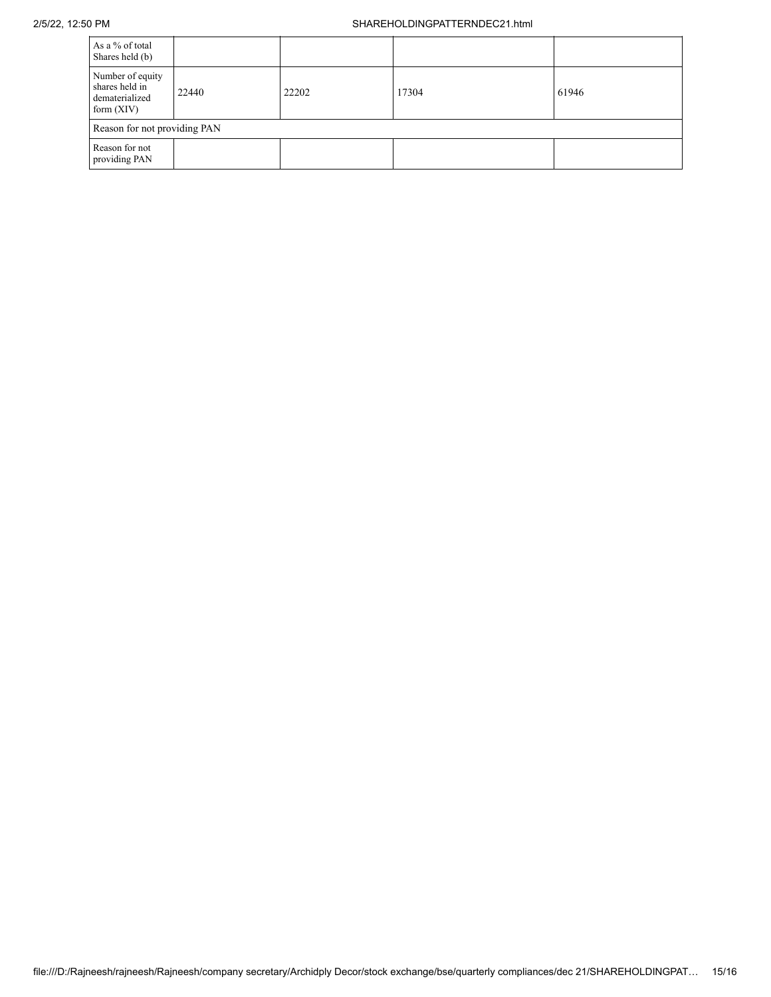| As a % of total<br>Shares held (b)                                   |       |       |       |       |  |  |
|----------------------------------------------------------------------|-------|-------|-------|-------|--|--|
| Number of equity<br>shares held in<br>dematerialized<br>form $(XIV)$ | 22440 | 22202 | 17304 | 61946 |  |  |
| Reason for not providing PAN                                         |       |       |       |       |  |  |
| Reason for not<br>providing PAN                                      |       |       |       |       |  |  |